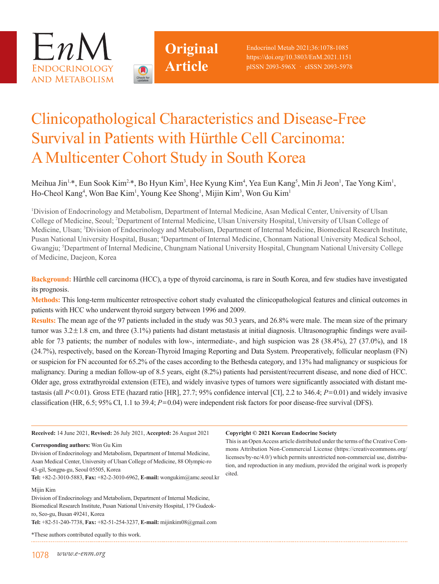



# Clinicopathological Characteristics and Disease-Free Survival in Patients with Hürthle Cell Carcinoma: A Multicenter Cohort Study in South Korea

Meihua Jin<sup>1,\*</sup>, Eun Sook Kim<sup>2,\*</sup>, Bo Hyun Kim<sup>3</sup>, Hee Kyung Kim<sup>4</sup>, Yea Eun Kang<sup>5</sup>, Min Ji Jeon<sup>1</sup>, Tae Yong Kim<sup>1</sup>, Ho-Cheol Kang<sup>4</sup>, Won Bae Kim<sup>1</sup>, Young Kee Shong<sup>1</sup>, Mijin Kim<sup>3</sup>, Won Gu Kim<sup>1</sup>

<sup>1</sup>Division of Endocrinology and Metabolism, Department of Internal Medicine, Asan Medical Center, University of Ulsan College of Medicine, Seoul; <sup>2</sup>Department of Internal Medicine, Ulsan University Hospital, University of Ulsan College of Medicine, Ulsan; <sup>3</sup>Division of Endocrinology and Metabolism, Department of Internal Medicine, Biomedical Research Institute, Pusan National University Hospital, Busan; <sup>4</sup>Department of Internal Medicine, Chonnam National University Medical School, Gwangju; <sup>5</sup>Department of Internal Medicine, Chungnam National University Hospital, Chungnam National University College of Medicine, Daejeon, Korea

**Background:** Hürthle cell carcinoma (HCC), a type of thyroid carcinoma, is rare in South Korea, and few studies have investigated its prognosis.

**Methods:** This long-term multicenter retrospective cohort study evaluated the clinicopathological features and clinical outcomes in patients with HCC who underwent thyroid surgery between 1996 and 2009.

**Results:** The mean age of the 97 patients included in the study was 50.3 years, and 26.8% were male. The mean size of the primary tumor was 3.2±1.8 cm, and three (3.1%) patients had distant metastasis at initial diagnosis. Ultrasonographic findings were available for 73 patients; the number of nodules with low-, intermediate-, and high suspicion was 28 (38.4%), 27 (37.0%), and 18 (24.7%), respectively, based on the Korean-Thyroid Imaging Reporting and Data System. Preoperatively, follicular neoplasm (FN) or suspicion for FN accounted for 65.2% of the cases according to the Bethesda category, and 13% had malignancy or suspicious for malignancy. During a median follow-up of 8.5 years, eight (8.2%) patients had persistent/recurrent disease, and none died of HCC. Older age, gross extrathyroidal extension (ETE), and widely invasive types of tumors were significantly associated with distant metastasis (all *P*<0.01). Gross ETE (hazard ratio [HR], 27.7; 95% confidence interval [CI], 2.2 to 346.4; *P*=0.01) and widely invasive classification (HR, 6.5; 95% CI, 1.1 to 39.4; *P*=0.04) were independent risk factors for poor disease-free survival (DFS).

| <b>Received: 14 June 2021, Revised: 26 July 2021, Accepted: 26 August 2021</b>                                                                                                                                                                                                                                              | Copyright $\odot$ 202                                                                       |
|-----------------------------------------------------------------------------------------------------------------------------------------------------------------------------------------------------------------------------------------------------------------------------------------------------------------------------|---------------------------------------------------------------------------------------------|
| <b>Corresponding authors:</b> Won Gu Kim<br>Division of Endocrinology and Metabolism, Department of Internal Medicine,<br>Asan Medical Center, University of Ulsan College of Medicine, 88 Olympic-ro<br>43-gil, Songpa-gu, Seoul 05505, Korea<br>Tel: +82-2-3010-5883, Fax: +82-2-3010-6962, E-mail: wongukim@amc.seoul.kr | This is an Open A<br>mons Attribution<br>licenses/by-nc/4.0<br>tion, and reproduc<br>cited. |
| Mijin Kim<br>Division of Endocrinology and Metabolism, Department of Internal Medicine,<br>Biomedical Research Institute, Pusan National University Hospital, 179 Gudeok-<br>ro, Seo-gu, Busan 49241, Korea<br>Tel: +82-51-240-7738, Fax: +82-51-254-3237, E-mail: mijinkim08@gmail.com                                     |                                                                                             |
| *These authors contributed equally to this work.                                                                                                                                                                                                                                                                            |                                                                                             |

#### **Let Korean Endocrine Society**

ccess article distributed under the terms of the Creative Com-Non-Commercial License (https://creativecommons.org/  $\frac{1}{2}$  which permits unrestricted non-commercial use, distribuction in any medium, provided the original work is properly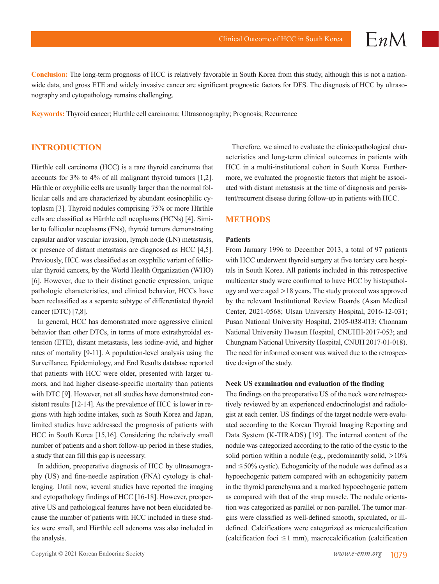$EnM$ 

**Conclusion:** The long-term prognosis of HCC is relatively favorable in South Korea from this study, although this is not a nationwide data, and gross ETE and widely invasive cancer are significant prognostic factors for DFS. The diagnosis of HCC by ultrasonography and cytopathology remains challenging.

**Keywords:** Thyroid cancer; Hurthle cell carcinoma; Ultrasonography; Prognosis; Recurrence

# **INTRODUCTION**

Hürthle cell carcinoma (HCC) is a rare thyroid carcinoma that accounts for 3% to 4% of all malignant thyroid tumors [1,2]. Hürthle or oxyphilic cells are usually larger than the normal follicular cells and are characterized by abundant eosinophilic cytoplasm [3]. Thyroid nodules comprising 75% or more Hürthle cells are classified as Hürthle cell neoplasms (HCNs) [4]. Similar to follicular neoplasms (FNs), thyroid tumors demonstrating capsular and/or vascular invasion, lymph node (LN) metastasis, or presence of distant metastasis are diagnosed as HCC [4,5]. Previously, HCC was classified as an oxyphilic variant of follicular thyroid cancers, by the World Health Organization (WHO) [6]. However, due to their distinct genetic expression, unique pathologic characteristics, and clinical behavior, HCCs have been reclassified as a separate subtype of differentiated thyroid cancer (DTC) [7,8].

In general, HCC has demonstrated more aggressive clinical behavior than other DTCs, in terms of more extrathyroidal extension (ETE), distant metastasis, less iodine-avid, and higher rates of mortality [9-11]. A population-level analysis using the Surveillance, Epidemiology, and End Results database reported that patients with HCC were older, presented with larger tumors, and had higher disease-specific mortality than patients with DTC [9]. However, not all studies have demonstrated consistent results [12-14]. As the prevalence of HCC is lower in regions with high iodine intakes, such as South Korea and Japan, limited studies have addressed the prognosis of patients with HCC in South Korea [15,16]. Considering the relatively small number of patients and a short follow-up period in these studies, a study that can fill this gap is necessary.

In addition, preoperative diagnosis of HCC by ultrasonography (US) and fine-needle aspiration (FNA) cytology is challenging. Until now, several studies have reported the imaging and cytopathology findings of HCC [16-18]. However, preoperative US and pathological features have not been elucidated because the number of patients with HCC included in these studies were small, and Hürthle cell adenoma was also included in the analysis.

Therefore, we aimed to evaluate the clinicopathological characteristics and long-term clinical outcomes in patients with HCC in a multi-institutional cohort in South Korea. Furthermore, we evaluated the prognostic factors that might be associated with distant metastasis at the time of diagnosis and persistent/recurrent disease during follow-up in patients with HCC.

#### **METHODS**

#### **Patients**

From January 1996 to December 2013, a total of 97 patients with HCC underwent thyroid surgery at five tertiary care hospitals in South Korea. All patients included in this retrospective multicenter study were confirmed to have HCC by histopathology and were aged >18 years. The study protocol was approved by the relevant Institutional Review Boards (Asan Medical Center, 2021-0568; Ulsan University Hospital, 2016-12-031; Pusan National University Hospital, 2105-038-013; Chonnam National University Hwasun Hospital, CNUHH-2017-053; and Chungnam National University Hospital, CNUH 2017-01-018). The need for informed consent was waived due to the retrospective design of the study.

#### **Neck US examination and evaluation of the finding**

The findings on the preoperative US of the neck were retrospectively reviewed by an experienced endocrinologist and radiologist at each center. US findings of the target nodule were evaluated according to the Korean Thyroid Imaging Reporting and Data System (K-TIRADS) [19]. The internal content of the nodule was categorized according to the ratio of the cystic to the solid portion within a nodule (e.g., predominantly solid,  $>10\%$ and  $\leq$ 50% cystic). Echogenicity of the nodule was defined as a hypoechogenic pattern compared with an echogenicity pattern in the thyroid parenchyma and a marked hypoechogenic pattern as compared with that of the strap muscle. The nodule orientation was categorized as parallel or non-parallel. The tumor margins were classified as well-defined smooth, spiculated, or illdefined. Calcifications were categorized as microcalcification (calcification foci  $\leq 1$  mm), macrocalcification (calcification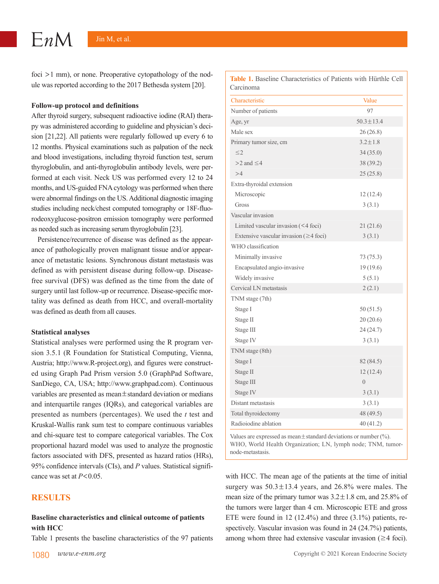foci >1 mm), or none. Preoperative cytopathology of the nodule was reported according to the 2017 Bethesda system [20].

#### **Follow-up protocol and definitions**

After thyroid surgery, subsequent radioactive iodine (RAI) therapy was administered according to guideline and physician's decision [21,22]. All patients were regularly followed up every 6 to 12 months. Physical examinations such as palpation of the neck and blood investigations, including thyroid function test, serum thyroglobulin, and anti-thyroglobulin antibody levels, were performed at each visit. Neck US was performed every 12 to 24 months, and US-guided FNA cytology was performed when there were abnormal findings on the US. Additional diagnostic imaging studies including neck/chest computed tomography or 18F-fluorodeoxyglucose-positron emission tomography were performed as needed such as increasing serum thyroglobulin [23].

Persistence/recurrence of disease was defined as the appearance of pathologically proven malignant tissue and/or appearance of metastatic lesions. Synchronous distant metastasis was defined as with persistent disease during follow-up. Diseasefree survival (DFS) was defined as the time from the date of surgery until last follow-up or recurrence. Disease-specific mortality was defined as death from HCC, and overall-mortality was defined as death from all causes.

#### **Statistical analyses**

Statistical analyses were performed using the R program version 3.5.1 (R Foundation for Statistical Computing, Vienna, Austria; http://www.R-project.org), and figures were constructed using Graph Pad Prism version 5.0 (GraphPad Software, SanDiego, CA, USA; http://www.graphpad.com). Continuous variables are presented as mean±standard deviation or medians and interquartile ranges (IQRs), and categorical variables are presented as numbers (percentages). We used the *t* test and Kruskal-Wallis rank sum test to compare continuous variables and chi-square test to compare categorical variables. The Cox proportional hazard model was used to analyze the prognostic factors associated with DFS, presented as hazard ratios (HRs), 95% confidence intervals (CIs), and *P* values. Statistical significance was set at *P*<0.05.

# **RESULTS**

# **Baseline characteristics and clinical outcome of patients with HCC**

Table 1 presents the baseline characteristics of the 97 patients

**Table 1.** Baseline Characteristics of Patients with Hürthle Cell Carcinoma

| Characteristic                               | Value           |
|----------------------------------------------|-----------------|
| Number of patients                           | 97              |
| Age, yr                                      | $50.3 \pm 13.4$ |
| Male sex                                     | 26(26.8)        |
| Primary tumor size, cm                       | $3.2 \pm 1.8$   |
| $\leq$ 2                                     | 34(35.0)        |
| $>$ 2 and $\leq$ 4                           | 38 (39.2)       |
| >4                                           | 25(25.8)        |
| Extra-thyroidal extension                    |                 |
| Microscopic                                  | 12(12.4)        |
| Gross                                        | 3(3.1)          |
| Vascular invasion                            |                 |
| Limited vascular invasion (<4 foci)          | 21(21.6)        |
| Extensive vascular invasion ( $\geq$ 4 foci) | 3(3.1)          |
| WHO classification                           |                 |
| Minimally invasive                           | 73(75.3)        |
| Encapsulated angio-invasive                  | 19(19.6)        |
| Widely invasive                              | 5(5.1)          |
| Cervical LN metastasis                       | 2(2.1)          |
| TNM stage (7th)                              |                 |
| Stage I                                      | 50(51.5)        |
| Stage II                                     | 20 (20.6)       |
| Stage III                                    | 24(24.7)        |
| Stage IV                                     | 3(3.1)          |
| TNM stage (8th)                              |                 |
| Stage I                                      | 82 (84.5)       |
| Stage II                                     | 12(12.4)        |
| Stage III                                    | $\overline{0}$  |
| Stage IV                                     | 3(3.1)          |
| Distant metastasis                           | 3(3.1)          |
| Total thyroidectomy                          | 48 (49.5)       |
| Radioiodine ablation                         | 40(41.2)        |

Values are expressed as mean $\pm$ standard deviations or number (%). WHO, World Health Organization; LN, lymph node; TNM, tumornode-metastasis.

with HCC. The mean age of the patients at the time of initial surgery was  $50.3 \pm 13.4$  years, and  $26.8\%$  were males. The mean size of the primary tumor was  $3.2 \pm 1.8$  cm, and  $25.8\%$  of the tumors were larger than 4 cm. Microscopic ETE and gross ETE were found in 12 (12.4%) and three (3.1%) patients, respectively. Vascular invasion was found in 24 (24.7%) patients, among whom three had extensive vascular invasion  $(\geq 4$  foci).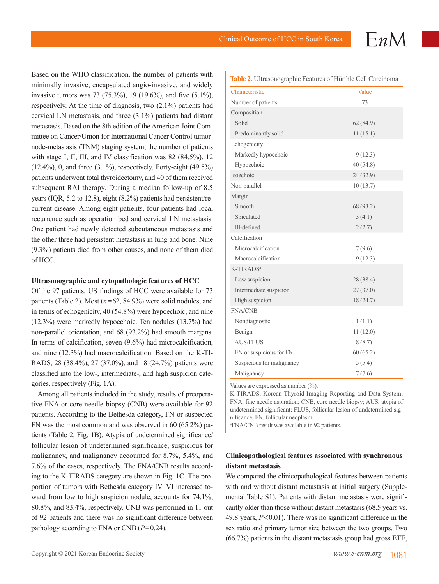$EnM$ 

Based on the WHO classification, the number of patients with minimally invasive, encapsulated angio-invasive, and widely invasive tumors was 73 (75.3%), 19 (19.6%), and five (5.1%), respectively. At the time of diagnosis, two (2.1%) patients had cervical LN metastasis, and three (3.1%) patients had distant metastasis. Based on the 8th edition of the American Joint Committee on Cancer/Union for International Cancer Control tumornode-metastasis (TNM) staging system, the number of patients with stage I, II, III, and IV classification was 82 (84.5%), 12  $(12.4\%)$ , 0, and three  $(3.1\%)$ , respectively. Forty-eight  $(49.5\%)$ patients underwent total thyroidectomy, and 40 of them received subsequent RAI therapy. During a median follow-up of 8.5 years (IQR, 5.2 to 12.8), eight (8.2%) patients had persistent/recurrent disease. Among eight patients, four patients had local recurrence such as operation bed and cervical LN metastasis. One patient had newly detected subcutaneous metastasis and the other three had persistent metastasis in lung and bone. Nine (9.3%) patients died from other causes, and none of them died of HCC.

#### **Ultrasonographic and cytopathologic features of HCC**

Of the 97 patients, US findings of HCC were available for 73 patients (Table 2). Most (*n*=62, 84.9%) were solid nodules, and in terms of echogenicity, 40 (54.8%) were hypoechoic, and nine (12.3%) were markedly hypoechoic. Ten nodules (13.7%) had non-parallel orientation, and 68 (93.2%) had smooth margins. In terms of calcification, seven (9.6%) had microcalcification, and nine (12.3%) had macrocalcification. Based on the K-TI-RADS, 28 (38.4%), 27 (37.0%), and 18 (24.7%) patients were classified into the low-, intermediate-, and high suspicion categories, respectively (Fig. 1A).

Among all patients included in the study, results of preoperative FNA or core needle biopsy (CNB) were available for 92 patients. According to the Bethesda category, FN or suspected FN was the most common and was observed in 60 (65.2%) patients (Table 2, Fig. 1B). Atypia of undetermined significance/ follicular lesion of undetermined significance, suspicious for malignancy, and malignancy accounted for 8.7%, 5.4%, and 7.6% of the cases, respectively. The FNA/CNB results according to the K-TIRADS category are shown in Fig. 1C. The proportion of tumors with Bethesda category IV–VI increased toward from low to high suspicion nodule, accounts for 74.1%, 80.8%, and 83.4%, respectively. CNB was performed in 11 out of 92 patients and there was no significant difference between pathology according to FNA or CNB (*P*=0.24).

| Table 2. Ultrasonographic Features of Hürthle Cell Carcinoma |           |  |  |
|--------------------------------------------------------------|-----------|--|--|
| Characteristic                                               | Value     |  |  |
| Number of patients                                           | 73        |  |  |
| Composition                                                  |           |  |  |
| Solid                                                        | 62(84.9)  |  |  |
| Predominantly solid                                          | 11(15.1)  |  |  |
| Echogenicity                                                 |           |  |  |
| Markedly hypoechoic                                          | 9(12.3)   |  |  |
| Hypoechoic                                                   | 40(54.8)  |  |  |
| Isoechoic                                                    | 24 (32.9) |  |  |
| Non-parallel                                                 | 10(13.7)  |  |  |
| Margin                                                       |           |  |  |
| Smooth                                                       | 68 (93.2) |  |  |
| Spiculated                                                   | 3(4.1)    |  |  |
| Ill-defined                                                  | 2(2.7)    |  |  |
| Calcification                                                |           |  |  |
| Microcalcification                                           | 7(9.6)    |  |  |
| Macrocalcification                                           | 9(12.3)   |  |  |
| K-TIRADS <sup>a</sup>                                        |           |  |  |
| Low suspicion                                                | 28 (38.4) |  |  |
| Intermediate suspicion                                       | 27(37.0)  |  |  |
| High suspicion                                               | 18(24.7)  |  |  |
| <b>FNA/CNB</b>                                               |           |  |  |
| Nondiagnostic                                                | 1(1.1)    |  |  |
| Benign                                                       | 11(12.0)  |  |  |
| <b>AUS/FLUS</b>                                              | 8(8.7)    |  |  |
| FN or suspicious for FN                                      | 60(65.2)  |  |  |
| Suspicious for malignancy                                    | 5(5.4)    |  |  |
| Malignancy                                                   | 7(7.6)    |  |  |

Values are expressed as number (%).

K-TIRADS, Korean-Thyroid Imaging Reporting and Data System; FNA, fine needle aspiration; CNB, core needle biopsy; AUS, atypia of undetermined significant; FLUS, follicular lesion of undetermined significance; FN, follicular neoplasm.

a FNA/CNB result was available in 92 patients.

# **Clinicopathological features associated with synchronous distant metastasis**

We compared the clinicopathological features between patients with and without distant metastasis at initial surgery (Supplemental Table S1). Patients with distant metastasis were significantly older than those without distant metastasis (68.5 years vs. 49.8 years, *P*<0.01). There was no significant difference in the sex ratio and primary tumor size between the two groups. Two (66.7%) patients in the distant metastasis group had gross ETE,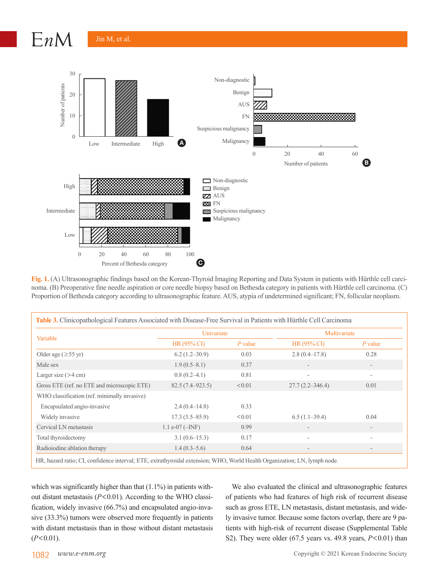$EnM$ 



**Fig. 1.** (A) Ultrasonographic findings based on the Korean-Thyroid Imaging Reporting and Data System in patients with Hürthle cell carcinoma. (B) Preoperative fine needle aspiration or core needle biopsy based on Bethesda category in patients with Hürthle cell carcinoma. (C) Proportion of Bethesda category according to ultrasonographic feature. AUS, atypia of undetermined significant; FN, follicular neoplasm.

| Variable                                     | Univariate           |           | Multivariate             |                          |
|----------------------------------------------|----------------------|-----------|--------------------------|--------------------------|
|                                              | HR (95% CI)          | $P$ value | $HR(95\% CI)$            | $P$ value                |
| Older age ( $\geq$ 55 yr)                    | $6.2(1.2 - 30.9)$    | 0.03      | $2.8(0.4 - 17.8)$        | 0.28                     |
| Male sex                                     | $1.9(0.5-8.1)$       | 0.37      |                          | $\overline{\phantom{a}}$ |
| Larger size $(>4 \text{ cm})$                | $0.8(0.2-4.1)$       | 0.81      | ٠                        | -                        |
| Gross ETE (ref. no ETE and microscopic ETE)  | $82.5(7.4 - 923.5)$  | < 0.01    | $27.7(2.2 - 346.4)$      | 0.01                     |
| WHO classification (ref. minimally invasive) |                      |           |                          |                          |
| Encapsulated angio-invasive                  | $2.4(0.4-14.8)$      | 0.33      |                          |                          |
| Widely invasive                              | $17.3(3.5 - 85.9)$   | < 0.01    | $6.5(1.1-39.4)$          | 0.04                     |
| Cervical LN metastasis                       | $1.1 e^{-07}$ (-INF) | 0.99      | $\qquad \qquad$          |                          |
| Total thyroidectomy                          | $3.1(0.6-15.3)$      | 0.17      | $\overline{\phantom{a}}$ | ٠                        |
| Radioiodine ablation therapy                 | $1.4(0.3-5.6)$       | 0.64      | $\qquad \qquad$          |                          |

which was significantly higher than that  $(1.1\%)$  in patients without distant metastasis (*P*<0.01). According to the WHO classification, widely invasive (66.7%) and encapsulated angio-invasive (33.3%) tumors were observed more frequently in patients with distant metastasis than in those without distant metastasis  $(P<0.01)$ .

We also evaluated the clinical and ultrasonographic features of patients who had features of high risk of recurrent disease such as gross ETE, LN metastasis, distant metastasis, and widely invasive tumor. Because some factors overlap, there are 9 patients with high-risk of recurrent disease (Supplemental Table S2). They were older (67.5 years vs. 49.8 years, *P*<0.01) than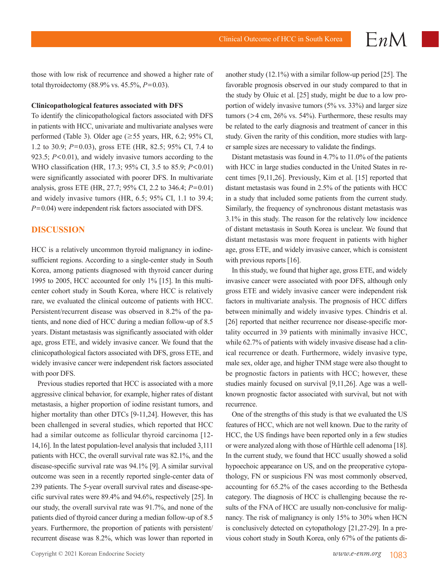those with low risk of recurrence and showed a higher rate of total thyroidectomy (88.9% vs. 45.5%, *P*=0.03).

#### **Clinicopathological features associated with DFS**

To identify the clinicopathological factors associated with DFS in patients with HCC, univariate and multivariate analyses were performed (Table 3). Older age (≥55 years, HR, 6.2; 95% CI, 1.2 to 30.9; *P*=0.03), gross ETE (HR, 82.5; 95% CI, 7.4 to 923.5; *P*<0.01), and widely invasive tumors according to the WHO classification (HR, 17.3; 95% CI, 3.5 to 85.9; *P*<0.01) were significantly associated with poorer DFS. In multivariate analysis, gross ETE (HR, 27.7; 95% CI, 2.2 to 346.4; *P*=0.01) and widely invasive tumors (HR, 6.5; 95% CI, 1.1 to 39.4; *P*=0.04) were independent risk factors associated with DFS.

# **DISCUSSION**

HCC is a relatively uncommon thyroid malignancy in iodinesufficient regions. According to a single-center study in South Korea, among patients diagnosed with thyroid cancer during 1995 to 2005, HCC accounted for only 1% [15]. In this multicenter cohort study in South Korea, where HCC is relatively rare, we evaluated the clinical outcome of patients with HCC. Persistent/recurrent disease was observed in 8.2% of the patients, and none died of HCC during a median follow-up of 8.5 years. Distant metastasis was significantly associated with older age, gross ETE, and widely invasive cancer. We found that the clinicopathological factors associated with DFS, gross ETE, and widely invasive cancer were independent risk factors associated with poor DFS.

Previous studies reported that HCC is associated with a more aggressive clinical behavior, for example, higher rates of distant metastasis, a higher proportion of iodine resistant tumors, and higher mortality than other DTCs [9-11,24]. However, this has been challenged in several studies, which reported that HCC had a similar outcome as follicular thyroid carcinoma [12-14,16]. In the latest population-level analysis that included 3,111 patients with HCC, the overall survival rate was 82.1%, and the disease-specific survival rate was 94.1% [9]. A similar survival outcome was seen in a recently reported single-center data of 239 patients. The 5-year overall survival rates and disease-specific survival rates were 89.4% and 94.6%, respectively [25]. In our study, the overall survival rate was 91.7%, and none of the patients died of thyroid cancer during a median follow-up of 8.5 years. Furthermore, the proportion of patients with persistent/ recurrent disease was 8.2%, which was lower than reported in

another study (12.1%) with a similar follow-up period [25]. The favorable prognosis observed in our study compared to that in the study by Oluic et al. [25] study, might be due to a low proportion of widely invasive tumors (5% vs. 33%) and larger size tumors ( $>4$  cm,  $26\%$  vs. 54%). Furthermore, these results may be related to the early diagnosis and treatment of cancer in this study. Given the rarity of this condition, more studies with larger sample sizes are necessary to validate the findings.

Distant metastasis was found in 4.7% to 11.0% of the patients with HCC in large studies conducted in the United States in recent times [9,11,26]. Previously, Kim et al. [15] reported that distant metastasis was found in 2.5% of the patients with HCC in a study that included some patients from the current study. Similarly, the frequency of synchronous distant metastasis was 3.1% in this study. The reason for the relatively low incidence of distant metastasis in South Korea is unclear. We found that distant metastasis was more frequent in patients with higher age, gross ETE, and widely invasive cancer, which is consistent with previous reports [16].

In this study, we found that higher age, gross ETE, and widely invasive cancer were associated with poor DFS, although only gross ETE and widely invasive cancer were independent risk factors in multivariate analysis. The prognosis of HCC differs between minimally and widely invasive types. Chindris et al. [26] reported that neither recurrence nor disease-specific mortality occurred in 39 patients with minimally invasive HCC, while 62.7% of patients with widely invasive disease had a clinical recurrence or death. Furthermore, widely invasive type, male sex, older age, and higher TNM stage were also thought to be prognostic factors in patients with HCC; however, these studies mainly focused on survival [9,11,26]. Age was a wellknown prognostic factor associated with survival, but not with recurrence.

One of the strengths of this study is that we evaluated the US features of HCC, which are not well known. Due to the rarity of HCC, the US findings have been reported only in a few studies or were analyzed along with those of Hürthle cell adenoma [18]. In the current study, we found that HCC usually showed a solid hypoechoic appearance on US, and on the preoperative cytopathology, FN or suspicious FN was most commonly observed, accounting for 65.2% of the cases according to the Bethesda category. The diagnosis of HCC is challenging because the results of the FNA of HCC are usually non-conclusive for malignancy. The risk of malignancy is only 15% to 30% when HCN is conclusively detected on cytopathology [21,27-29]. In a previous cohort study in South Korea, only 67% of the patients di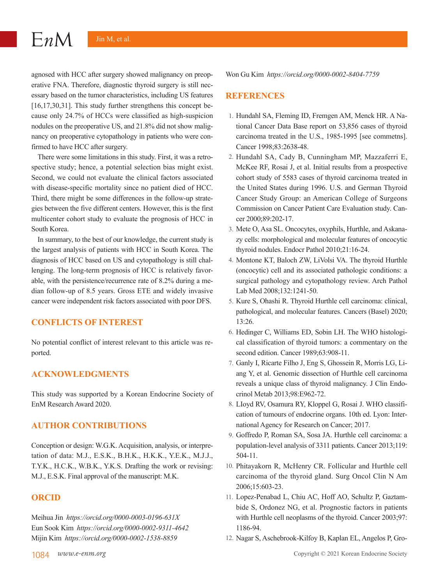agnosed with HCC after surgery showed malignancy on preoperative FNA. Therefore, diagnostic thyroid surgery is still necessary based on the tumor characteristics, including US features [16,17,30,31]. This study further strengthens this concept because only 24.7% of HCCs were classified as high-suspicion nodules on the preoperative US, and 21.8% did not show malignancy on preoperative cytopathology in patients who were confirmed to have HCC after surgery.

There were some limitations in this study. First, it was a retrospective study; hence, a potential selection bias might exist. Second, we could not evaluate the clinical factors associated with disease-specific mortality since no patient died of HCC. Third, there might be some differences in the follow-up strategies between the five different centers. However, this is the first multicenter cohort study to evaluate the prognosis of HCC in South Korea.

In summary, to the best of our knowledge, the current study is the largest analysis of patients with HCC in South Korea. The diagnosis of HCC based on US and cytopathology is still challenging. The long-term prognosis of HCC is relatively favorable, with the persistence/recurrence rate of 8.2% during a median follow-up of 8.5 years. Gross ETE and widely invasive cancer were independent risk factors associated with poor DFS.

# **CONFLICTS OF INTEREST**

No potential conflict of interest relevant to this article was reported.

# **ACKNOWLEDGMENTS**

This study was supported by a Korean Endocrine Society of EnM Research Award 2020.

## **AUTHOR CONTRIBUTIONS**

Conception or design: W.G.K. Acquisition, analysis, or interpretation of data: M.J., E.S.K., B.H.K., H.K.K., Y.E.K., M.J.J., T.Y.K., H.C.K., W.B.K., Y.K.S. Drafting the work or revising: M.J., E.S.K. Final approval of the manuscript: M.K.

# **ORCID**

Meihua Jin *https://orcid.org/0000-0003-0196-631X* Eun Sook Kim *https://orcid.org/0000-0002-9311-4642* Mijin Kim *https://orcid.org/0000-0002-1538-8859*

Won Gu Kim *https://orcid.org/0000-0002-8404-7759*

# **REFERENCES**

- 1. Hundahl SA, Fleming ID, Fremgen AM, Menck HR. A National Cancer Data Base report on 53,856 cases of thyroid carcinoma treated in the U.S., 1985-1995 [see commetns]. Cancer 1998:83:2638-48
- 2. Hundahl SA, Cady B, Cunningham MP, Mazzaferri E, McKee RF, Rosai J, et al. Initial results from a prospective cohort study of 5583 cases of thyroid carcinoma treated in the United States during 1996. U.S. and German Thyroid Cancer Study Group: an American College of Surgeons Commission on Cancer Patient Care Evaluation study. Cancer 2000;89:202-17.
- 3. Mete O, Asa SL. Oncocytes, oxyphils, Hurthle, and Askanazy cells: morphological and molecular features of oncocytic thyroid nodules. Endocr Pathol 2010;21:16-24.
- 4. Montone KT, Baloch ZW, LiVolsi VA. The thyroid Hurthle (oncocytic) cell and its associated pathologic conditions: a surgical pathology and cytopathology review. Arch Pathol Lab Med 2008;132:1241-50.
- 5. Kure S, Ohashi R. Thyroid Hurthle cell carcinoma: clinical, pathological, and molecular features. Cancers (Basel) 2020; 13:26.
- 6. Hedinger C, Williams ED, Sobin LH. The WHO histological classification of thyroid tumors: a commentary on the second edition. Cancer 1989;63:908-11.
- 7. Ganly I, Ricarte Filho J, Eng S, Ghossein R, Morris LG, Liang Y, et al. Genomic dissection of Hurthle cell carcinoma reveals a unique class of thyroid malignancy. J Clin Endocrinol Metab 2013;98:E962-72.
- 8. LIoyd RV, Osamura RY, Kloppel G, Rosai J. WHO classification of tumours of endocrine organs. 10th ed. Lyon: International Agency for Research on Cancer; 2017.
- 9. Goffredo P, Roman SA, Sosa JA. Hurthle cell carcinoma: a population-level analysis of 3311 patients. Cancer 2013;119: 504-11.
- 10. Phitayakorn R, McHenry CR. Follicular and Hurthle cell carcinoma of the thyroid gland. Surg Oncol Clin N Am 2006;15:603-23.
- 11. Lopez-Penabad L, Chiu AC, Hoff AO, Schultz P, Gaztambide S, Ordonez NG, et al. Prognostic factors in patients with Hurthle cell neoplasms of the thyroid. Cancer 2003;97: 1186-94.
- 12. Nagar S, Aschebrook-Kilfoy B, Kaplan EL, Angelos P, Gro-